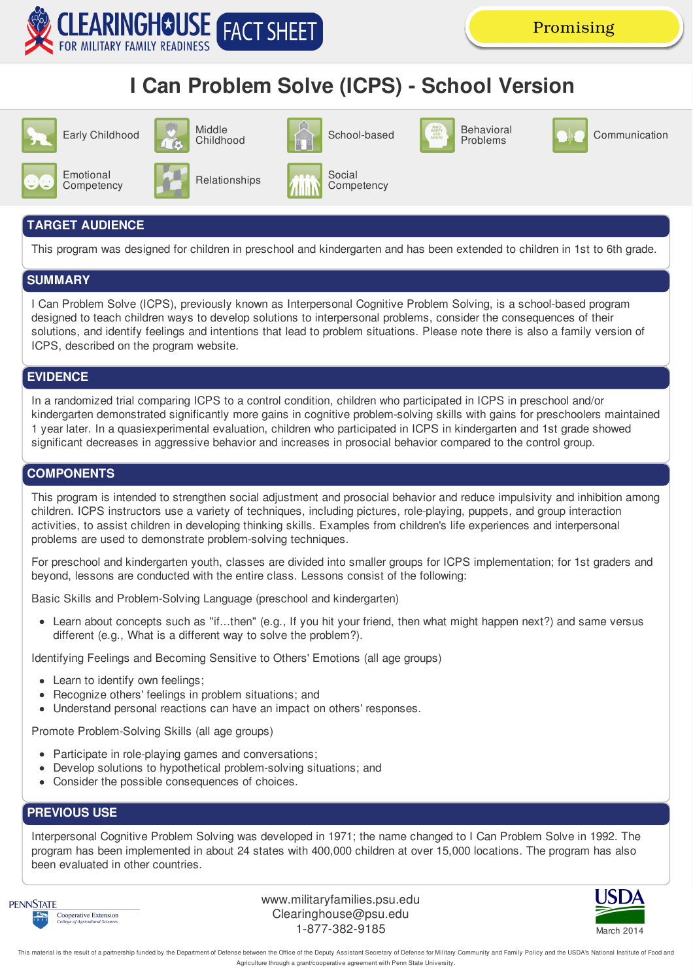

## **I Can Problem Solve (ICPS) - School Version**



## **TARGET AUDIENCE**

This program was designed for children in preschool and kindergarten and has been extended to children in 1st to 6th grade.

#### **SUMMARY**

I Can Problem Solve (ICPS), previously known as Interpersonal Cognitive Problem Solving, is a school-based program designed to teach children ways to develop solutions to interpersonal problems, consider the consequences of their solutions, and identify feelings and intentions that lead to problem situations. Please note there is also a family version of ICPS, described on the program website.

## **EVIDENCE**

In a randomized trial comparing ICPS to a control condition, children who participated in ICPS in preschool and/or kindergarten demonstrated significantly more gains in cognitive problem-solving skills with gains for preschoolers maintained 1 year later. In a quasiexperimental evaluation, children who participated in ICPS in kindergarten and 1st grade showed significant decreases in aggressive behavior and increases in prosocial behavior compared to the control group.

### **COMPONENTS**

This program is intended to strengthen social adjustment and prosocial behavior and reduce impulsivity and inhibition among children. ICPS instructors use a variety of techniques, including pictures, role-playing, puppets, and group interaction activities, to assist children in developing thinking skills. Examples from children's life experiences and interpersonal problems are used to demonstrate problem-solving techniques.

For preschool and kindergarten youth, classes are divided into smaller groups for ICPS implementation; for 1st graders and beyond, lessons are conducted with the entire class. Lessons consist of the following:

Basic Skills and Problem-Solving Language (preschool and kindergarten)

Learn about concepts such as "if...then" (e.g., If you hit your friend, then what might happen next?) and same versus different (e.g., What is a different way to solve the problem?).

Identifying Feelings and Becoming Sensitive to Others' Emotions (all age groups)

- Learn to identify own feelings;
- Recognize others' feelings in problem situations; and
- Understand personal reactions can have an impact on others' responses.

Promote Problem-Solving Skills (all age groups)

- Participate in role-playing games and conversations;
- Develop solutions to hypothetical problem-solving situations; and
- Consider the possible consequences of choices.  $\bullet$

## **PREVIOUS USE**

Interpersonal Cognitive Problem Solving was developed in 1971; the name changed to I Can Problem Solve in 1992. The program has been implemented in about 24 states with 400,000 children at over 15,000 locations. The program has also been evaluated in other countries.



www.militaryfamilies.psu.edu Clearinghouse@psu.edu 1-877-382-9185